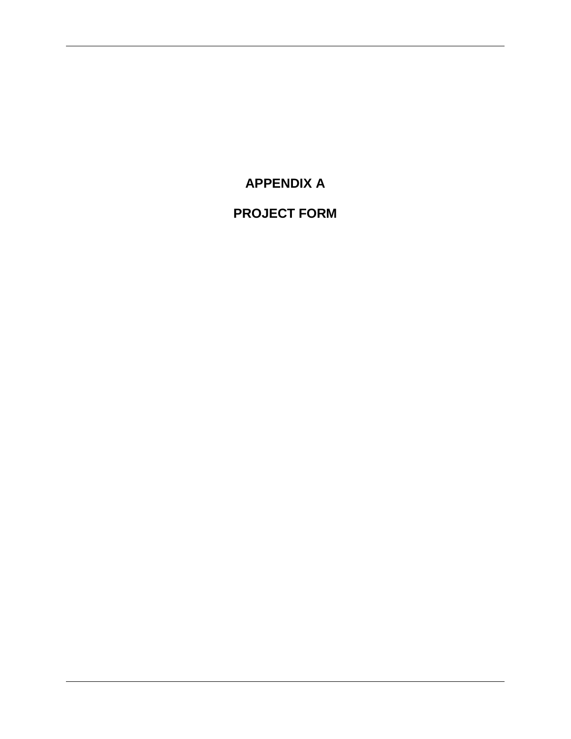**APPENDIX A**

**PROJECT FORM**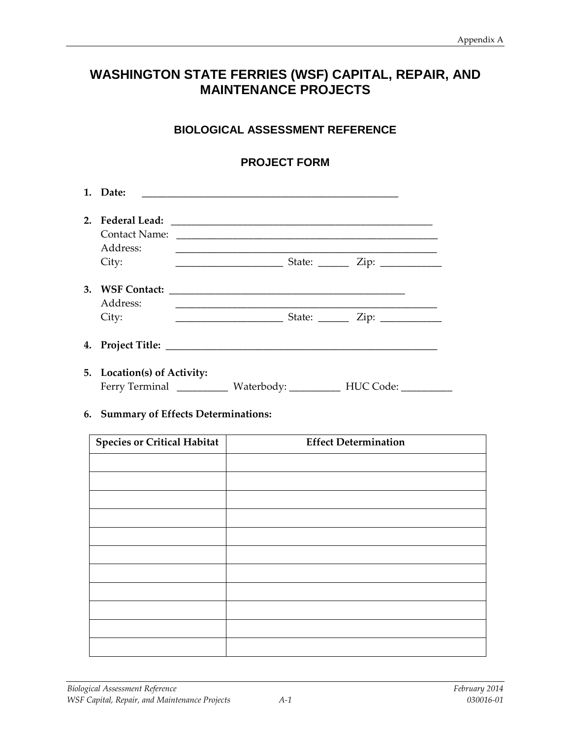# **WASHINGTON STATE FERRIES (WSF) CAPITAL, REPAIR, AND MAINTENANCE PROJECTS**

## **BIOLOGICAL ASSESSMENT REFERENCE**

### **PROJECT FORM**

|    | 1. Date:                                  | <u> 1989 - Johann Stoff, amerikansk politiker (* 1908)</u>             |                                            |
|----|-------------------------------------------|------------------------------------------------------------------------|--------------------------------------------|
| 2. | <b>Federal Lead:</b><br>Address:<br>City: |                                                                        |                                            |
|    | 3. WSF Contact:<br>Address:<br>City:      |                                                                        | State: $\frac{\text{Zip: } }{ \text{Up: }$ |
|    |                                           |                                                                        |                                            |
|    | 5. Location(s) of Activity:               | Ferry Terminal ____________ Waterbody: __________ HUC Code: __________ |                                            |

#### **6. Summary of Effects Determinations:**

| <b>Species or Critical Habitat</b> | <b>Effect Determination</b> |
|------------------------------------|-----------------------------|
|                                    |                             |
|                                    |                             |
|                                    |                             |
|                                    |                             |
|                                    |                             |
|                                    |                             |
|                                    |                             |
|                                    |                             |
|                                    |                             |
|                                    |                             |
|                                    |                             |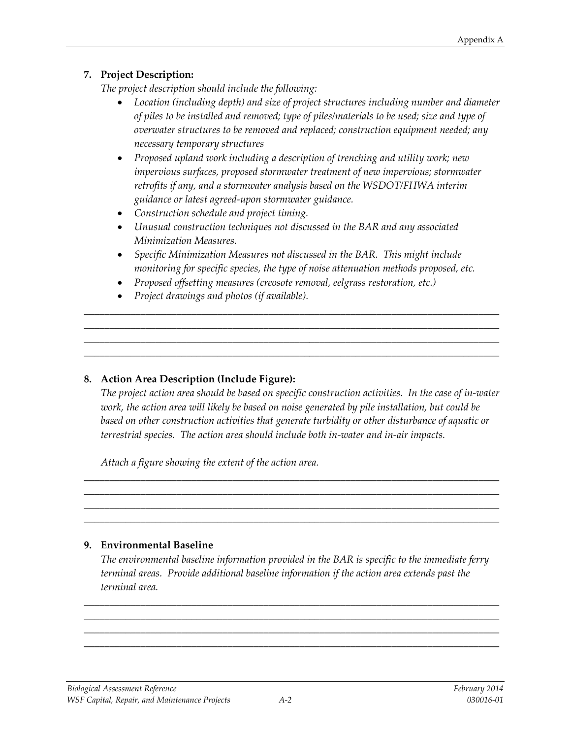## **7. Project Description:**

*The project description should include the following:*

- *Location (including depth) and size of project structures including number and diameter of piles to be installed and removed; type of piles/materials to be used; size and type of overwater structures to be removed and replaced; construction equipment needed; any necessary temporary structures*
- *Proposed upland work including a description of trenching and utility work; new impervious surfaces, proposed stormwater treatment of new impervious; stormwater retrofits if any, and a stormwater analysis based on the WSDOT/FHWA interim guidance or latest agreed-upon stormwater guidance.*
- *Construction schedule and project timing.*
- *Unusual construction techniques not discussed in the BAR and any associated Minimization Measures.*
- *Specific Minimization Measures not discussed in the BAR. This might include monitoring for specific species, the type of noise attenuation methods proposed, etc.*

\_\_\_\_\_\_\_\_\_\_\_\_\_\_\_\_\_\_\_\_\_\_\_\_\_\_\_\_\_\_\_\_\_\_\_\_\_\_\_\_\_\_\_\_\_\_\_\_\_\_\_\_\_\_\_\_\_\_\_\_\_\_\_\_\_\_\_\_\_\_\_\_\_\_\_\_\_\_\_\_\_ \_\_\_\_\_\_\_\_\_\_\_\_\_\_\_\_\_\_\_\_\_\_\_\_\_\_\_\_\_\_\_\_\_\_\_\_\_\_\_\_\_\_\_\_\_\_\_\_\_\_\_\_\_\_\_\_\_\_\_\_\_\_\_\_\_\_\_\_\_\_\_\_\_\_\_\_\_\_\_\_\_ \_\_\_\_\_\_\_\_\_\_\_\_\_\_\_\_\_\_\_\_\_\_\_\_\_\_\_\_\_\_\_\_\_\_\_\_\_\_\_\_\_\_\_\_\_\_\_\_\_\_\_\_\_\_\_\_\_\_\_\_\_\_\_\_\_\_\_\_\_\_\_\_\_\_\_\_\_\_\_\_\_ \_\_\_\_\_\_\_\_\_\_\_\_\_\_\_\_\_\_\_\_\_\_\_\_\_\_\_\_\_\_\_\_\_\_\_\_\_\_\_\_\_\_\_\_\_\_\_\_\_\_\_\_\_\_\_\_\_\_\_\_\_\_\_\_\_\_\_\_\_\_\_\_\_\_\_\_\_\_\_\_\_

- *Proposed offsetting measures (creosote removal, eelgrass restoration, etc.)*
- *Project drawings and photos (if available).*

## **8. Action Area Description (Include Figure):**

*The project action area should be based on specific construction activities. In the case of in-water work, the action area will likely be based on noise generated by pile installation, but could be based on other construction activities that generate turbidity or other disturbance of aquatic or terrestrial species. The action area should include both in-water and in-air impacts.* 

\_\_\_\_\_\_\_\_\_\_\_\_\_\_\_\_\_\_\_\_\_\_\_\_\_\_\_\_\_\_\_\_\_\_\_\_\_\_\_\_\_\_\_\_\_\_\_\_\_\_\_\_\_\_\_\_\_\_\_\_\_\_\_\_\_\_\_\_\_\_\_\_\_\_\_\_\_\_\_\_\_ \_\_\_\_\_\_\_\_\_\_\_\_\_\_\_\_\_\_\_\_\_\_\_\_\_\_\_\_\_\_\_\_\_\_\_\_\_\_\_\_\_\_\_\_\_\_\_\_\_\_\_\_\_\_\_\_\_\_\_\_\_\_\_\_\_\_\_\_\_\_\_\_\_\_\_\_\_\_\_\_\_ \_\_\_\_\_\_\_\_\_\_\_\_\_\_\_\_\_\_\_\_\_\_\_\_\_\_\_\_\_\_\_\_\_\_\_\_\_\_\_\_\_\_\_\_\_\_\_\_\_\_\_\_\_\_\_\_\_\_\_\_\_\_\_\_\_\_\_\_\_\_\_\_\_\_\_\_\_\_\_\_\_ \_\_\_\_\_\_\_\_\_\_\_\_\_\_\_\_\_\_\_\_\_\_\_\_\_\_\_\_\_\_\_\_\_\_\_\_\_\_\_\_\_\_\_\_\_\_\_\_\_\_\_\_\_\_\_\_\_\_\_\_\_\_\_\_\_\_\_\_\_\_\_\_\_\_\_\_\_\_\_\_\_

*Attach a figure showing the extent of the action area.*

#### **9. Environmental Baseline**

*The environmental baseline information provided in the BAR is specific to the immediate ferry terminal areas. Provide additional baseline information if the action area extends past the terminal area.*

\_\_\_\_\_\_\_\_\_\_\_\_\_\_\_\_\_\_\_\_\_\_\_\_\_\_\_\_\_\_\_\_\_\_\_\_\_\_\_\_\_\_\_\_\_\_\_\_\_\_\_\_\_\_\_\_\_\_\_\_\_\_\_\_\_\_\_\_\_\_\_\_\_\_\_\_\_\_\_\_\_ \_\_\_\_\_\_\_\_\_\_\_\_\_\_\_\_\_\_\_\_\_\_\_\_\_\_\_\_\_\_\_\_\_\_\_\_\_\_\_\_\_\_\_\_\_\_\_\_\_\_\_\_\_\_\_\_\_\_\_\_\_\_\_\_\_\_\_\_\_\_\_\_\_\_\_\_\_\_\_\_\_ \_\_\_\_\_\_\_\_\_\_\_\_\_\_\_\_\_\_\_\_\_\_\_\_\_\_\_\_\_\_\_\_\_\_\_\_\_\_\_\_\_\_\_\_\_\_\_\_\_\_\_\_\_\_\_\_\_\_\_\_\_\_\_\_\_\_\_\_\_\_\_\_\_\_\_\_\_\_\_\_\_ \_\_\_\_\_\_\_\_\_\_\_\_\_\_\_\_\_\_\_\_\_\_\_\_\_\_\_\_\_\_\_\_\_\_\_\_\_\_\_\_\_\_\_\_\_\_\_\_\_\_\_\_\_\_\_\_\_\_\_\_\_\_\_\_\_\_\_\_\_\_\_\_\_\_\_\_\_\_\_\_\_